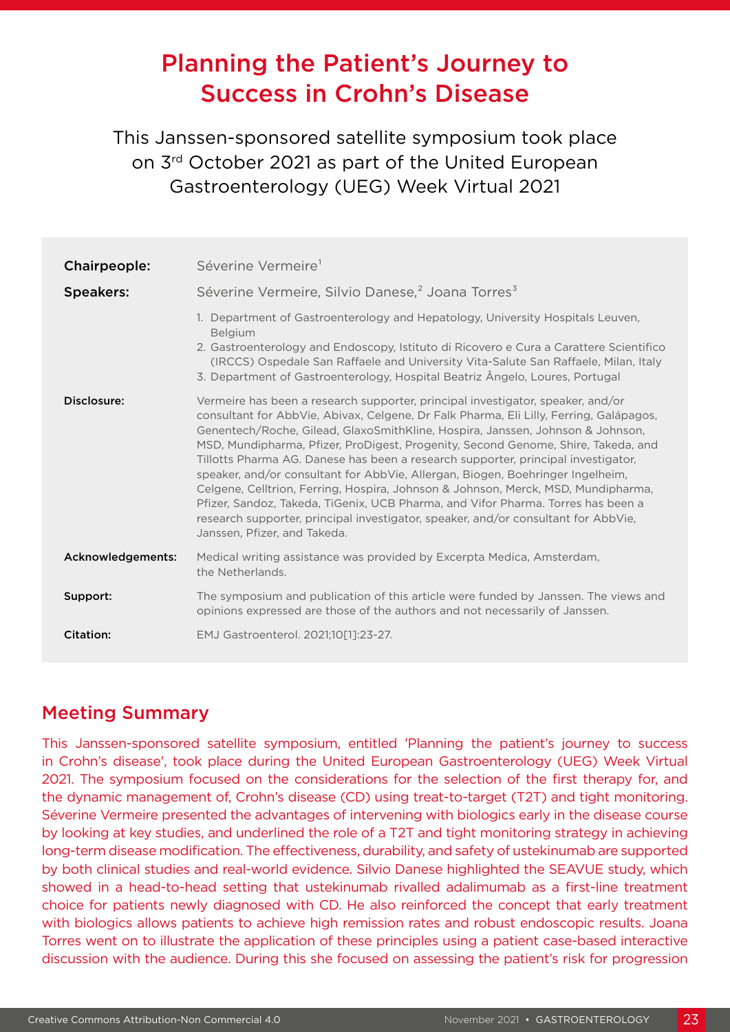# Planning the Patient's Journey to Success in Crohn's Disease

This Janssen-sponsored satellite symposium took place on 3<sup>rd</sup> October 2021 as part of the United European Gastroenterology (UEG) Week Virtual 2021

| Chairpeople:      | Séverine Vermeire <sup>1</sup>                                                                                                                                                                                                                                                                                                                                                                                                                                                                                                                                                                                                                                                                                                                                                                                         |
|-------------------|------------------------------------------------------------------------------------------------------------------------------------------------------------------------------------------------------------------------------------------------------------------------------------------------------------------------------------------------------------------------------------------------------------------------------------------------------------------------------------------------------------------------------------------------------------------------------------------------------------------------------------------------------------------------------------------------------------------------------------------------------------------------------------------------------------------------|
| <b>Speakers:</b>  | Séverine Vermeire, Silvio Danese, <sup>2</sup> Joana Torres <sup>3</sup>                                                                                                                                                                                                                                                                                                                                                                                                                                                                                                                                                                                                                                                                                                                                               |
|                   | 1. Department of Gastroenterology and Hepatology, University Hospitals Leuven,<br><b>Belgium</b><br>2. Gastroenterology and Endoscopy, Istituto di Ricovero e Cura a Carattere Scientifico<br>(IRCCS) Ospedale San Raffaele and University Vita-Salute San Raffaele, Milan, Italy<br>3. Department of Gastroenterology, Hospital Beatriz Ângelo, Loures, Portugal                                                                                                                                                                                                                                                                                                                                                                                                                                                      |
| Disclosure:       | Vermeire has been a research supporter, principal investigator, speaker, and/or<br>consultant for AbbVie, Abivax, Celgene, Dr Falk Pharma, Eli Lilly, Ferring, Galápagos,<br>Genentech/Roche, Gilead, GlaxoSmithKline, Hospira, Janssen, Johnson & Johnson,<br>MSD, Mundipharma, Pfizer, ProDigest, Progenity, Second Genome, Shire, Takeda, and<br>Tillotts Pharma AG. Danese has been a research supporter, principal investigator,<br>speaker, and/or consultant for AbbVie, Allergan, Biogen, Boehringer Ingelheim,<br>Celgene, Celltrion, Ferring, Hospira, Johnson & Johnson, Merck, MSD, Mundipharma,<br>Pfizer, Sandoz, Takeda, TiGenix, UCB Pharma, and Vifor Pharma. Torres has been a<br>research supporter, principal investigator, speaker, and/or consultant for AbbVie,<br>Janssen, Pfizer, and Takeda. |
| Acknowledgements: | Medical writing assistance was provided by Excerpta Medica, Amsterdam,<br>the Netherlands.                                                                                                                                                                                                                                                                                                                                                                                                                                                                                                                                                                                                                                                                                                                             |
| Support:          | The symposium and publication of this article were funded by Janssen. The views and<br>opinions expressed are those of the authors and not necessarily of Janssen.                                                                                                                                                                                                                                                                                                                                                                                                                                                                                                                                                                                                                                                     |
| <b>Citation:</b>  | EMJ Gastroenterol. 2021;10[1]:23-27.                                                                                                                                                                                                                                                                                                                                                                                                                                                                                                                                                                                                                                                                                                                                                                                   |

### Meeting Summary

This Janssen-sponsored satellite symposium, entitled 'Planning the patient's journey to success in Crohn's disease', took place during the United European Gastroenterology (UEG) Week Virtual 2021. The symposium focused on the considerations for the selection of the first therapy for, and the dynamic management of, Crohn's disease (CD) using treat-to-target (T2T) and tight monitoring. Séverine Vermeire presented the advantages of intervening with biologics early in the disease course by looking at key studies, and underlined the role of a T2T and tight monitoring strategy in achieving long-term disease modification. The effectiveness, durability, and safety of ustekinumab are supported by both clinical studies and real-world evidence. Silvio Danese highlighted the SEAVUE study, which showed in a head-to-head setting that ustekinumab rivalled adalimumab as a first-line treatment choice for patients newly diagnosed with CD. He also reinforced the concept that early treatment with biologics allows patients to achieve high remission rates and robust endoscopic results. Joana Torres went on to illustrate the application of these principles using a patient case-based interactive discussion with the audience. During this she focused on assessing the patient's risk for progression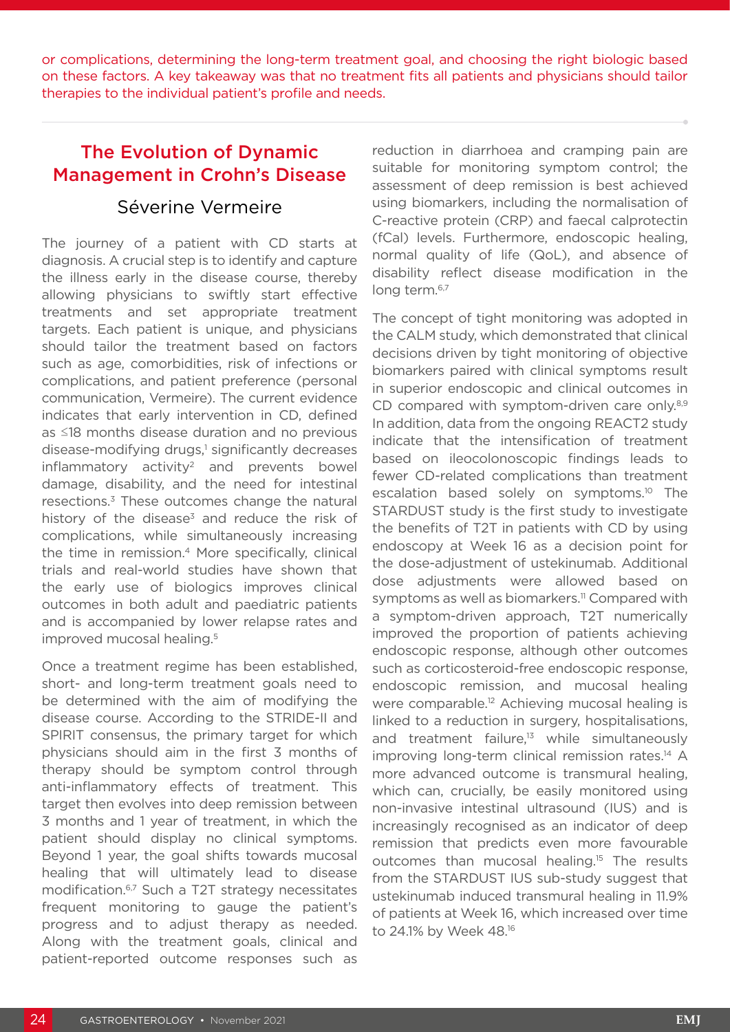or complications, determining the long-term treatment goal, and choosing the right biologic based on these factors. A key takeaway was that no treatment fits all patients and physicians should tailor therapies to the individual patient's profile and needs.

# The Evolution of Dynamic Management in Crohn's Disease

#### Séverine Vermeire

The journey of a patient with CD starts at diagnosis. A crucial step is to identify and capture the illness early in the disease course, thereby allowing physicians to swiftly start effective treatments and set appropriate treatment targets. Each patient is unique, and physicians should tailor the treatment based on factors such as age, comorbidities, risk of infections or complications, and patient preference (personal communication, Vermeire). The current evidence indicates that early intervention in CD, defined as ≤18 months disease duration and no previous disease-modifying drugs,<sup>1</sup> significantly decreases  $inflammatory$  activity<sup>2</sup> and prevents bowel damage, disability, and the need for intestinal resections.3 These outcomes change the natural history of the disease<sup>3</sup> and reduce the risk of complications, while simultaneously increasing the time in remission.<sup>4</sup> More specifically, clinical trials and real-world studies have shown that the early use of biologics improves clinical outcomes in both adult and paediatric patients and is accompanied by lower relapse rates and improved mucosal healing.<sup>5</sup>

Once a treatment regime has been established, short- and long-term treatment goals need to be determined with the aim of modifying the disease course. According to the STRIDE-II and SPIRIT consensus, the primary target for which physicians should aim in the first 3 months of therapy should be symptom control through anti-inflammatory effects of treatment. This target then evolves into deep remission between 3 months and 1 year of treatment, in which the patient should display no clinical symptoms. Beyond 1 year, the goal shifts towards mucosal healing that will ultimately lead to disease modification.6,7 Such a T2T strategy necessitates frequent monitoring to gauge the patient's progress and to adjust therapy as needed. Along with the treatment goals, clinical and patient-reported outcome responses such as

reduction in diarrhoea and cramping pain are suitable for monitoring symptom control; the assessment of deep remission is best achieved using biomarkers, including the normalisation of C-reactive protein (CRP) and faecal calprotectin (fCal) levels. Furthermore, endoscopic healing, normal quality of life (QoL), and absence of disability reflect disease modification in the long term.<sup>6,7</sup>

The concept of tight monitoring was adopted in the CALM study, which demonstrated that clinical decisions driven by tight monitoring of objective biomarkers paired with clinical symptoms result in superior endoscopic and clinical outcomes in CD compared with symptom-driven care only.<sup>8,9</sup> In addition, data from the ongoing REACT2 study indicate that the intensification of treatment based on ileocolonoscopic findings leads to fewer CD-related complications than treatment escalation based solely on symptoms.<sup>10</sup> The STARDUST study is the first study to investigate the benefits of T2T in patients with CD by using endoscopy at Week 16 as a decision point for the dose-adjustment of ustekinumab. Additional dose adjustments were allowed based on symptoms as well as biomarkers.<sup>11</sup> Compared with a symptom-driven approach, T2T numerically improved the proportion of patients achieving endoscopic response, although other outcomes such as corticosteroid-free endoscopic response, endoscopic remission, and mucosal healing were comparable.<sup>12</sup> Achieving mucosal healing is linked to a reduction in surgery, hospitalisations, and treatment failure, $13$  while simultaneously improving long-term clinical remission rates.<sup>14</sup> A more advanced outcome is transmural healing, which can, crucially, be easily monitored using non-invasive intestinal ultrasound (IUS) and is increasingly recognised as an indicator of deep remission that predicts even more favourable outcomes than mucosal healing.<sup>15</sup> The results from the STARDUST IUS sub-study suggest that ustekinumab induced transmural healing in 11.9% of patients at Week 16, which increased over time to 24.1% by Week 48.16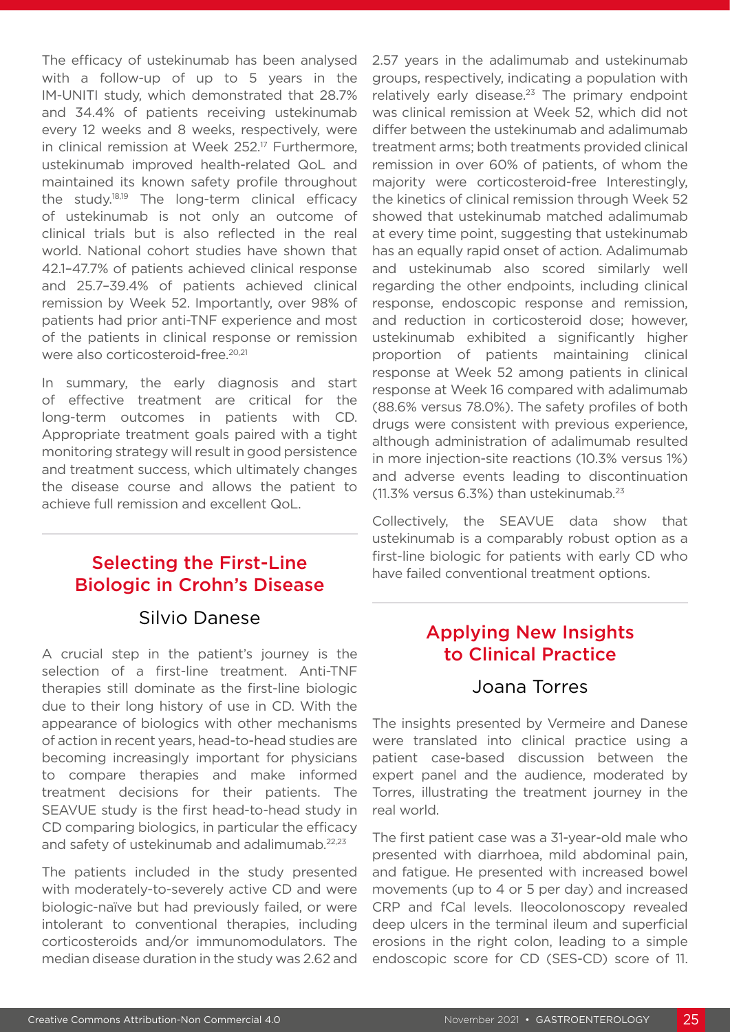The efficacy of ustekinumab has been analysed with a follow-up of up to 5 years in the IM-UNITI study, which demonstrated that 28.7% and 34.4% of patients receiving ustekinumab every 12 weeks and 8 weeks, respectively, were in clinical remission at Week 252.<sup>17</sup> Furthermore, ustekinumab improved health-related QoL and maintained its known safety profile throughout the study.18,19 The long-term clinical efficacy of ustekinumab is not only an outcome of clinical trials but is also reflected in the real world. National cohort studies have shown that 42.1–47.7% of patients achieved clinical response and 25.7–39.4% of patients achieved clinical remission by Week 52. Importantly, over 98% of patients had prior anti-TNF experience and most of the patients in clinical response or remission were also corticosteroid-free.<sup>20,21</sup>

In summary, the early diagnosis and start of effective treatment are critical for the long-term outcomes in patients with CD. Appropriate treatment goals paired with a tight monitoring strategy will result in good persistence and treatment success, which ultimately changes the disease course and allows the patient to achieve full remission and excellent QoL.

# Selecting the First-Line Biologic in Crohn's Disease

#### Silvio Danese

A crucial step in the patient's journey is the selection of a first-line treatment. Anti-TNF therapies still dominate as the first-line biologic due to their long history of use in CD. With the appearance of biologics with other mechanisms of action in recent years, head-to-head studies are becoming increasingly important for physicians to compare therapies and make informed treatment decisions for their patients. The SEAVUE study is the first head-to-head study in CD comparing biologics, in particular the efficacy and safety of ustekinumab and adalimumab.22,23

The patients included in the study presented with moderately-to-severely active CD and were biologic-naïve but had previously failed, or were intolerant to conventional therapies, including corticosteroids and/or immunomodulators. The median disease duration in the study was 2.62 and

2.57 years in the adalimumab and ustekinumab groups, respectively, indicating a population with relatively early disease. $23$  The primary endpoint was clinical remission at Week 52, which did not differ between the ustekinumab and adalimumab treatment arms; both treatments provided clinical remission in over 60% of patients, of whom the majority were corticosteroid-free Interestingly, the kinetics of clinical remission through Week 52 showed that ustekinumab matched adalimumab at every time point, suggesting that ustekinumab has an equally rapid onset of action. Adalimumab and ustekinumab also scored similarly well regarding the other endpoints, including clinical response, endoscopic response and remission, and reduction in corticosteroid dose; however, ustekinumab exhibited a significantly higher proportion of patients maintaining clinical response at Week 52 among patients in clinical response at Week 16 compared with adalimumab (88.6% versus 78.0%). The safety profiles of both drugs were consistent with previous experience, although administration of adalimumab resulted in more injection-site reactions (10.3% versus 1%) and adverse events leading to discontinuation (11.3% versus  $6.3%$ ) than ustekinumab.<sup>23</sup>

Collectively, the SEAVUE data show that ustekinumab is a comparably robust option as a first-line biologic for patients with early CD who have failed conventional treatment options.

# Applying New Insights to Clinical Practice

#### Joana Torres

The insights presented by Vermeire and Danese were translated into clinical practice using a patient case-based discussion between the expert panel and the audience, moderated by Torres, illustrating the treatment journey in the real world.

The first patient case was a 31-year-old male who presented with diarrhoea, mild abdominal pain, and fatigue. He presented with increased bowel movements (up to 4 or 5 per day) and increased CRP and fCal levels. Ileocolonoscopy revealed deep ulcers in the terminal ileum and superficial erosions in the right colon, leading to a simple endoscopic score for CD (SES-CD) score of 11.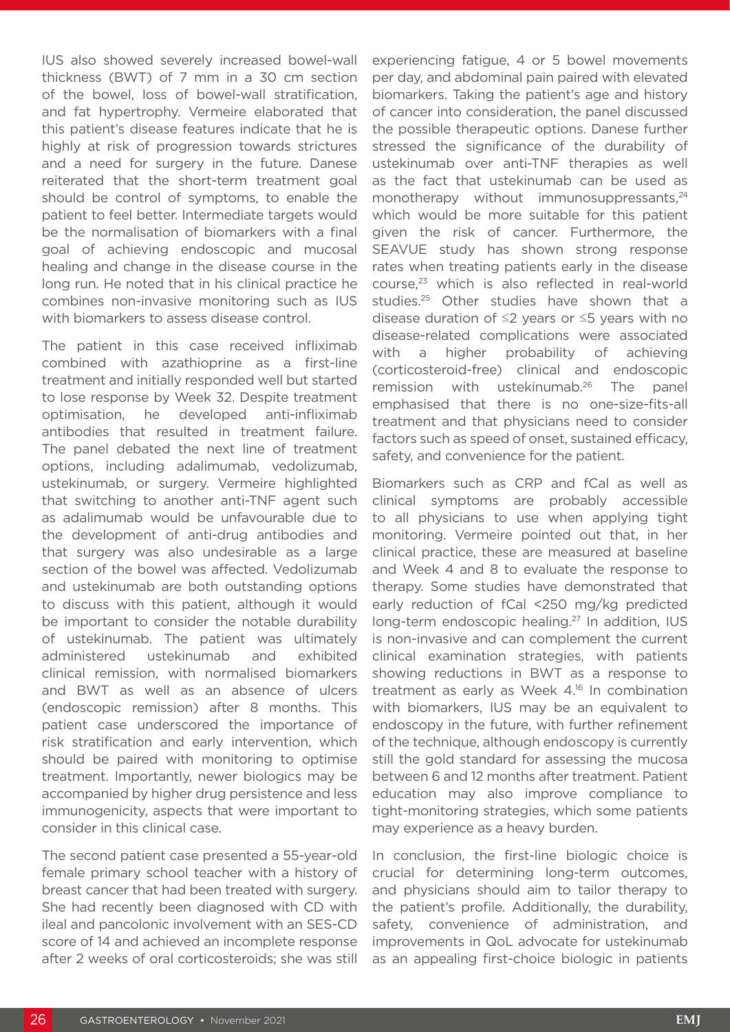IUS also showed severely increased bowel-wall thickness (BWT) of 7 mm in a 30 cm section of the bowel, loss of bowel-wall stratification, and fat hypertrophy. Vermeire elaborated that this patient's disease features indicate that he is highly at risk of progression towards strictures and a need for surgery in the future. Danese reiterated that the short-term treatment goal should be control of symptoms, to enable the patient to feel better. Intermediate targets would be the normalisation of biomarkers with a final goal of achieving endoscopic and mucosal healing and change in the disease course in the long run. He noted that in his clinical practice he combines non-invasive monitoring such as IUS with biomarkers to assess disease control.

The patient in this case received infliximab combined with azathioprine as a first-line treatment and initially responded well but started to lose response by Week 32. Despite treatment optimisation, he developed anti-infliximab antibodies that resulted in treatment failure. The panel debated the next line of treatment options, including adalimumab, vedolizumab, ustekinumab, or surgery. Vermeire highlighted that switching to another anti-TNF agent such as adalimumab would be unfavourable due to the development of anti-drug antibodies and that surgery was also undesirable as a large section of the bowel was affected. Vedolizumab and ustekinumab are both outstanding options to discuss with this patient, although it would be important to consider the notable durability of ustekinumab. The patient was ultimately administered ustekinumab and exhibited clinical remission, with normalised biomarkers and BWT as well as an absence of ulcers (endoscopic remission) after 8 months. This patient case underscored the importance of risk stratification and early intervention, which should be paired with monitoring to optimise treatment. Importantly, newer biologics may be accompanied by higher drug persistence and less immunogenicity, aspects that were important to consider in this clinical case.

The second patient case presented a 55-year-old female primary school teacher with a history of breast cancer that had been treated with surgery. She had recently been diagnosed with CD with ileal and pancolonic involvement with an SES-CD score of 14 and achieved an incomplete response after 2 weeks of oral corticosteroids; she was still

experiencing fatigue, 4 or 5 bowel movements per day, and abdominal pain paired with elevated biomarkers. Taking the patient's age and history of cancer into consideration, the panel discussed the possible therapeutic options. Danese further stressed the significance of the durability of ustekinumab over anti-TNF therapies as well as the fact that ustekinumab can be used as monotherapy without immunosuppressants.<sup>24</sup> which would be more suitable for this patient given the risk of cancer. Furthermore, the SEAVUE study has shown strong response rates when treating patients early in the disease course,23 which is also reflected in real-world studies.25 Other studies have shown that a disease duration of ≤2 years or ≤5 years with no disease-related complications were associated with a higher probability of achieving (corticosteroid-free) clinical and endoscopic remission with ustekinumab.<sup>26</sup> The panel emphasised that there is no one-size-fits-all treatment and that physicians need to consider factors such as speed of onset, sustained efficacy, safety, and convenience for the patient.

Biomarkers such as CRP and fCal as well as clinical symptoms are probably accessible to all physicians to use when applying tight monitoring. Vermeire pointed out that, in her clinical practice, these are measured at baseline and Week 4 and 8 to evaluate the response to therapy. Some studies have demonstrated that early reduction of fCal <250 mg/kg predicted long-term endoscopic healing.<sup>27</sup> In addition, IUS is non-invasive and can complement the current clinical examination strategies, with patients showing reductions in BWT as a response to treatment as early as Week 4.<sup>16</sup> In combination with biomarkers, IUS may be an equivalent to endoscopy in the future, with further refinement of the technique, although endoscopy is currently still the gold standard for assessing the mucosa between 6 and 12 months after treatment. Patient education may also improve compliance to tight-monitoring strategies, which some patients may experience as a heavy burden.

In conclusion, the first-line biologic choice is crucial for determining long-term outcomes, and physicians should aim to tailor therapy to the patient's profile. Additionally, the durability, safety, convenience of administration, and improvements in QoL advocate for ustekinumab as an appealing first-choice biologic in patients